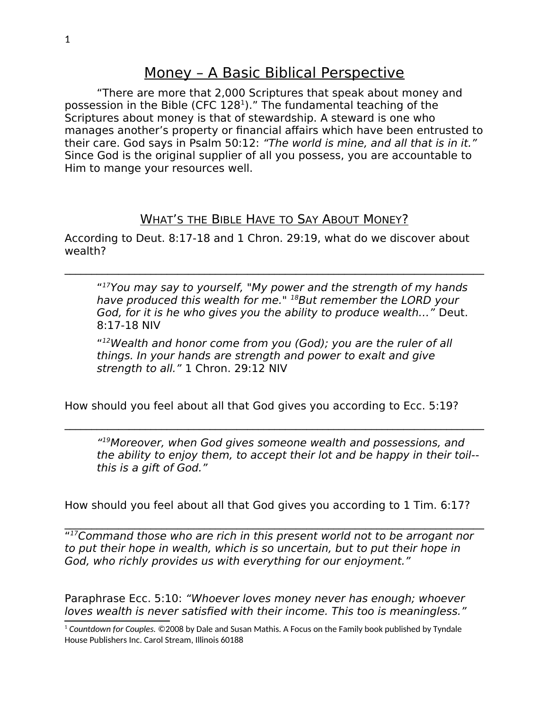## Money – A Basic Biblical Perspective

"There are more that 2,000 Scriptures that speak about money and possession in the Bible (CFC  $128<sup>1</sup>$  $128<sup>1</sup>$ )." The fundamental teaching of the Scriptures about money is that of stewardship. A steward is one who manages another's property or financial affairs which have been entrusted to their care. God says in Psalm 50:12: "The world is mine, and all that is in it." Since God is the original supplier of all you possess, you are accountable to Him to mange your resources well.

## WHAT'S THE BIBLE HAVE TO SAY ABOUT MONEY?

According to Deut. 8:17-18 and 1 Chron. 29:19, what do we discover about wealth?

 $\mathcal{L}_\mathcal{L} = \mathcal{L}_\mathcal{L} = \mathcal{L}_\mathcal{L} = \mathcal{L}_\mathcal{L} = \mathcal{L}_\mathcal{L} = \mathcal{L}_\mathcal{L} = \mathcal{L}_\mathcal{L} = \mathcal{L}_\mathcal{L} = \mathcal{L}_\mathcal{L} = \mathcal{L}_\mathcal{L} = \mathcal{L}_\mathcal{L} = \mathcal{L}_\mathcal{L} = \mathcal{L}_\mathcal{L} = \mathcal{L}_\mathcal{L} = \mathcal{L}_\mathcal{L} = \mathcal{L}_\mathcal{L} = \mathcal{L}_\mathcal{L}$ 

" <sup>17</sup>You may say to yourself, "My power and the strength of my hands have produced this wealth for me." <sup>18</sup>But remember the LORD your God, for it is he who gives you the ability to produce wealth…" Deut. 8:17-18 NIV

" <sup>12</sup>Wealth and honor come from you (God); you are the ruler of all things. In your hands are strength and power to exalt and give strength to all." 1 Chron. 29:12 NIV

 $\mathcal{L}_\mathcal{L} = \mathcal{L}_\mathcal{L} = \mathcal{L}_\mathcal{L} = \mathcal{L}_\mathcal{L} = \mathcal{L}_\mathcal{L} = \mathcal{L}_\mathcal{L} = \mathcal{L}_\mathcal{L} = \mathcal{L}_\mathcal{L} = \mathcal{L}_\mathcal{L} = \mathcal{L}_\mathcal{L} = \mathcal{L}_\mathcal{L} = \mathcal{L}_\mathcal{L} = \mathcal{L}_\mathcal{L} = \mathcal{L}_\mathcal{L} = \mathcal{L}_\mathcal{L} = \mathcal{L}_\mathcal{L} = \mathcal{L}_\mathcal{L}$ 

How should you feel about all that God gives you according to Ecc. 5:19?

" <sup>19</sup>Moreover, when God gives someone wealth and possessions, and the ability to enjoy them, to accept their lot and be happy in their toil- this is a gift of God."

How should you feel about all that God gives you according to 1 Tim. 6:17?

 $\mathcal{L}_\mathcal{L} = \mathcal{L}_\mathcal{L} = \mathcal{L}_\mathcal{L} = \mathcal{L}_\mathcal{L} = \mathcal{L}_\mathcal{L} = \mathcal{L}_\mathcal{L} = \mathcal{L}_\mathcal{L} = \mathcal{L}_\mathcal{L} = \mathcal{L}_\mathcal{L} = \mathcal{L}_\mathcal{L} = \mathcal{L}_\mathcal{L} = \mathcal{L}_\mathcal{L} = \mathcal{L}_\mathcal{L} = \mathcal{L}_\mathcal{L} = \mathcal{L}_\mathcal{L} = \mathcal{L}_\mathcal{L} = \mathcal{L}_\mathcal{L}$ "<sup>17</sup>Command those who are rich in this present world not to be arrogant nor to put their hope in wealth, which is so uncertain, but to put their hope in God, who richly provides us with everything for our enjoyment."

Paraphrase Ecc. 5:10: "Whoever loves money never has enough; whoever loves wealth is never satisfied with their income. This too is meaningless."

<span id="page-0-0"></span><sup>1</sup> *Countdown for Couples.* ©2008 by Dale and Susan Mathis. A Focus on the Family book published by Tyndale House Publishers Inc. Carol Stream, Illinois 60188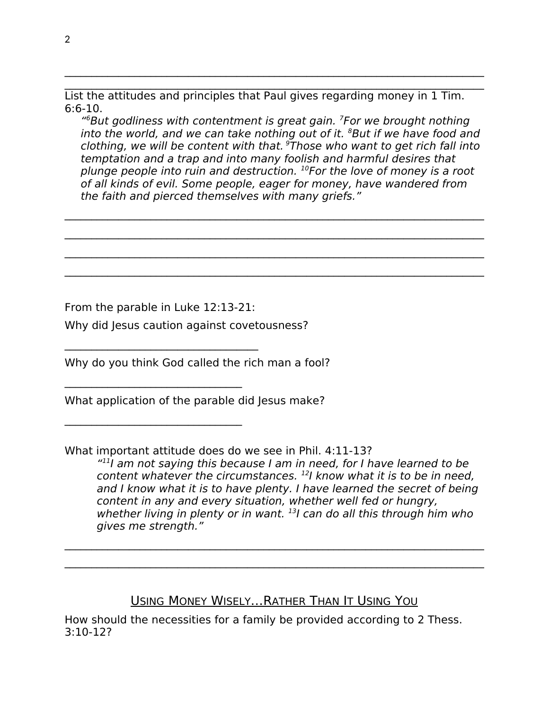List the attitudes and principles that Paul gives regarding money in 1 Tim. 6:6-10.

 $\mathcal{L}_\mathcal{L} = \mathcal{L}_\mathcal{L} = \mathcal{L}_\mathcal{L} = \mathcal{L}_\mathcal{L} = \mathcal{L}_\mathcal{L} = \mathcal{L}_\mathcal{L} = \mathcal{L}_\mathcal{L} = \mathcal{L}_\mathcal{L} = \mathcal{L}_\mathcal{L} = \mathcal{L}_\mathcal{L} = \mathcal{L}_\mathcal{L} = \mathcal{L}_\mathcal{L} = \mathcal{L}_\mathcal{L} = \mathcal{L}_\mathcal{L} = \mathcal{L}_\mathcal{L} = \mathcal{L}_\mathcal{L} = \mathcal{L}_\mathcal{L}$  $\mathcal{L}_\mathcal{L} = \mathcal{L}_\mathcal{L} = \mathcal{L}_\mathcal{L} = \mathcal{L}_\mathcal{L} = \mathcal{L}_\mathcal{L} = \mathcal{L}_\mathcal{L} = \mathcal{L}_\mathcal{L} = \mathcal{L}_\mathcal{L} = \mathcal{L}_\mathcal{L} = \mathcal{L}_\mathcal{L} = \mathcal{L}_\mathcal{L} = \mathcal{L}_\mathcal{L} = \mathcal{L}_\mathcal{L} = \mathcal{L}_\mathcal{L} = \mathcal{L}_\mathcal{L} = \mathcal{L}_\mathcal{L} = \mathcal{L}_\mathcal{L}$ 

" <sup>6</sup>But godliness with contentment is great gain. <sup>7</sup>For we brought nothing into the world, and we can take nothing out of it.  ${}^{8}$ But if we have food and clothing, we will be content with that.  $9$ Those who want to get rich fall into temptation and a trap and into many foolish and harmful desires that plunge people into ruin and destruction.  $^{10}$  For the love of money is a root of all kinds of evil. Some people, eager for money, have wandered from the faith and pierced themselves with many griefs."

 $\mathcal{L}_\mathcal{L} = \{ \mathcal{L}_\mathcal{L} = \{ \mathcal{L}_\mathcal{L} = \{ \mathcal{L}_\mathcal{L} = \{ \mathcal{L}_\mathcal{L} = \{ \mathcal{L}_\mathcal{L} = \{ \mathcal{L}_\mathcal{L} = \{ \mathcal{L}_\mathcal{L} = \{ \mathcal{L}_\mathcal{L} = \{ \mathcal{L}_\mathcal{L} = \{ \mathcal{L}_\mathcal{L} = \{ \mathcal{L}_\mathcal{L} = \{ \mathcal{L}_\mathcal{L} = \{ \mathcal{L}_\mathcal{L} = \{ \mathcal{L}_\mathcal{$ 

 $\mathcal{L}_\mathcal{L} = \{ \mathcal{L}_\mathcal{L} = \{ \mathcal{L}_\mathcal{L} = \{ \mathcal{L}_\mathcal{L} = \{ \mathcal{L}_\mathcal{L} = \{ \mathcal{L}_\mathcal{L} = \{ \mathcal{L}_\mathcal{L} = \{ \mathcal{L}_\mathcal{L} = \{ \mathcal{L}_\mathcal{L} = \{ \mathcal{L}_\mathcal{L} = \{ \mathcal{L}_\mathcal{L} = \{ \mathcal{L}_\mathcal{L} = \{ \mathcal{L}_\mathcal{L} = \{ \mathcal{L}_\mathcal{L} = \{ \mathcal{L}_\mathcal{$ 

 $\mathcal{L}_\mathcal{L} = \{ \mathcal{L}_\mathcal{L} = \{ \mathcal{L}_\mathcal{L} = \{ \mathcal{L}_\mathcal{L} = \{ \mathcal{L}_\mathcal{L} = \{ \mathcal{L}_\mathcal{L} = \{ \mathcal{L}_\mathcal{L} = \{ \mathcal{L}_\mathcal{L} = \{ \mathcal{L}_\mathcal{L} = \{ \mathcal{L}_\mathcal{L} = \{ \mathcal{L}_\mathcal{L} = \{ \mathcal{L}_\mathcal{L} = \{ \mathcal{L}_\mathcal{L} = \{ \mathcal{L}_\mathcal{L} = \{ \mathcal{L}_\mathcal{$ 

 $\mathcal{L}_\mathcal{L} = \{ \mathcal{L}_\mathcal{L} = \{ \mathcal{L}_\mathcal{L} = \{ \mathcal{L}_\mathcal{L} = \{ \mathcal{L}_\mathcal{L} = \{ \mathcal{L}_\mathcal{L} = \{ \mathcal{L}_\mathcal{L} = \{ \mathcal{L}_\mathcal{L} = \{ \mathcal{L}_\mathcal{L} = \{ \mathcal{L}_\mathcal{L} = \{ \mathcal{L}_\mathcal{L} = \{ \mathcal{L}_\mathcal{L} = \{ \mathcal{L}_\mathcal{L} = \{ \mathcal{L}_\mathcal{L} = \{ \mathcal{L}_\mathcal{$ 

From the parable in Luke 12:13-21:

 $\mathcal{L}_\text{max}$  and  $\mathcal{L}_\text{max}$  and  $\mathcal{L}_\text{max}$  and  $\mathcal{L}_\text{max}$ 

 $\mathcal{L}_\text{max}$  and  $\mathcal{L}_\text{max}$  and  $\mathcal{L}_\text{max}$  and  $\mathcal{L}_\text{max}$ 

 $\mathcal{L}_\text{max}$  and  $\mathcal{L}_\text{max}$  and  $\mathcal{L}_\text{max}$  and  $\mathcal{L}_\text{max}$ 

Why did Jesus caution against covetousness?

Why do you think God called the rich man a fool?

What application of the parable did Jesus make?

What important attitude does do we see in Phil. 4:11-13?

" $11$  am not saying this because I am in need, for I have learned to be content whatever the circumstances.  $121$  know what it is to be in need, and I know what it is to have plenty. I have learned the secret of being content in any and every situation, whether well fed or hungry, whether living in plenty or in want. <sup>13</sup>I can do all this through him who gives me strength."

USING MONEY WISELY…RATHER THAN IT USING YOU

 $\mathcal{L}_\mathcal{L} = \mathcal{L}_\mathcal{L} = \mathcal{L}_\mathcal{L} = \mathcal{L}_\mathcal{L} = \mathcal{L}_\mathcal{L} = \mathcal{L}_\mathcal{L} = \mathcal{L}_\mathcal{L} = \mathcal{L}_\mathcal{L} = \mathcal{L}_\mathcal{L} = \mathcal{L}_\mathcal{L} = \mathcal{L}_\mathcal{L} = \mathcal{L}_\mathcal{L} = \mathcal{L}_\mathcal{L} = \mathcal{L}_\mathcal{L} = \mathcal{L}_\mathcal{L} = \mathcal{L}_\mathcal{L} = \mathcal{L}_\mathcal{L}$ 

 $\mathcal{L}_\mathcal{L} = \mathcal{L}_\mathcal{L} = \mathcal{L}_\mathcal{L} = \mathcal{L}_\mathcal{L} = \mathcal{L}_\mathcal{L} = \mathcal{L}_\mathcal{L} = \mathcal{L}_\mathcal{L} = \mathcal{L}_\mathcal{L} = \mathcal{L}_\mathcal{L} = \mathcal{L}_\mathcal{L} = \mathcal{L}_\mathcal{L} = \mathcal{L}_\mathcal{L} = \mathcal{L}_\mathcal{L} = \mathcal{L}_\mathcal{L} = \mathcal{L}_\mathcal{L} = \mathcal{L}_\mathcal{L} = \mathcal{L}_\mathcal{L}$ 

How should the necessities for a family be provided according to 2 Thess. 3:10-12?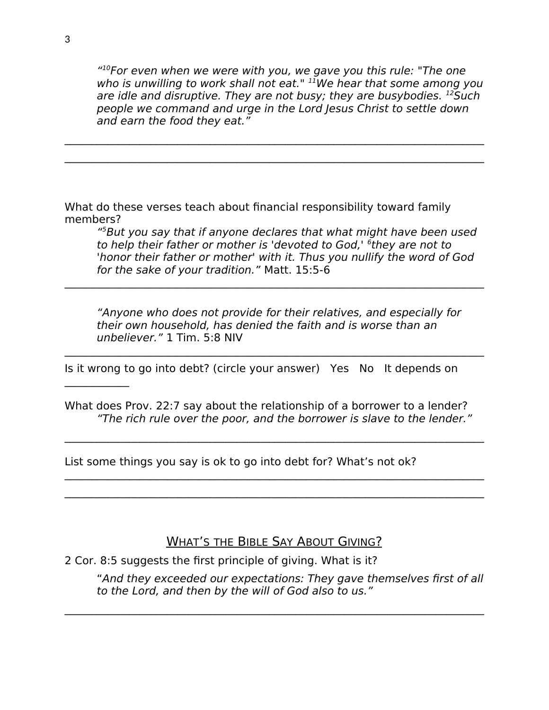" $10$ For even when we were with you, we gave you this rule: "The one who is unwilling to work shall not eat."  $11$ We hear that some among you are idle and disruptive. They are not busy; they are busybodies.  $^{12}$ Such people we command and urge in the Lord Jesus Christ to settle down and earn the food they eat."

 $\mathcal{L}_\mathcal{L} = \{ \mathcal{L}_\mathcal{L} = \{ \mathcal{L}_\mathcal{L} = \{ \mathcal{L}_\mathcal{L} = \{ \mathcal{L}_\mathcal{L} = \{ \mathcal{L}_\mathcal{L} = \{ \mathcal{L}_\mathcal{L} = \{ \mathcal{L}_\mathcal{L} = \{ \mathcal{L}_\mathcal{L} = \{ \mathcal{L}_\mathcal{L} = \{ \mathcal{L}_\mathcal{L} = \{ \mathcal{L}_\mathcal{L} = \{ \mathcal{L}_\mathcal{L} = \{ \mathcal{L}_\mathcal{L} = \{ \mathcal{L}_\mathcal{$ 

 $\mathcal{L}_\mathcal{L} = \mathcal{L}_\mathcal{L} = \mathcal{L}_\mathcal{L} = \mathcal{L}_\mathcal{L} = \mathcal{L}_\mathcal{L} = \mathcal{L}_\mathcal{L} = \mathcal{L}_\mathcal{L} = \mathcal{L}_\mathcal{L} = \mathcal{L}_\mathcal{L} = \mathcal{L}_\mathcal{L} = \mathcal{L}_\mathcal{L} = \mathcal{L}_\mathcal{L} = \mathcal{L}_\mathcal{L} = \mathcal{L}_\mathcal{L} = \mathcal{L}_\mathcal{L} = \mathcal{L}_\mathcal{L} = \mathcal{L}_\mathcal{L}$ 

What do these verses teach about financial responsibility toward family members?

" <sup>5</sup>But you say that if anyone declares that what might have been used to help their father or mother is 'devoted to God,' <sup>6</sup>they are not to 'honor their father or mother' with it. Thus you nullify the word of God for the sake of your tradition." Matt. 15:5-6

"Anyone who does not provide for their relatives, and especially for their own household, has denied the faith and is worse than an unbeliever." 1 Tim. 5:8 NIV

 $\mathcal{L}_\mathcal{L} = \mathcal{L}_\mathcal{L} = \mathcal{L}_\mathcal{L} = \mathcal{L}_\mathcal{L} = \mathcal{L}_\mathcal{L} = \mathcal{L}_\mathcal{L} = \mathcal{L}_\mathcal{L} = \mathcal{L}_\mathcal{L} = \mathcal{L}_\mathcal{L} = \mathcal{L}_\mathcal{L} = \mathcal{L}_\mathcal{L} = \mathcal{L}_\mathcal{L} = \mathcal{L}_\mathcal{L} = \mathcal{L}_\mathcal{L} = \mathcal{L}_\mathcal{L} = \mathcal{L}_\mathcal{L} = \mathcal{L}_\mathcal{L}$ 

 $\mathcal{L}_\mathcal{L} = \mathcal{L}_\mathcal{L} = \mathcal{L}_\mathcal{L} = \mathcal{L}_\mathcal{L} = \mathcal{L}_\mathcal{L} = \mathcal{L}_\mathcal{L} = \mathcal{L}_\mathcal{L} = \mathcal{L}_\mathcal{L} = \mathcal{L}_\mathcal{L} = \mathcal{L}_\mathcal{L} = \mathcal{L}_\mathcal{L} = \mathcal{L}_\mathcal{L} = \mathcal{L}_\mathcal{L} = \mathcal{L}_\mathcal{L} = \mathcal{L}_\mathcal{L} = \mathcal{L}_\mathcal{L} = \mathcal{L}_\mathcal{L}$ 

Is it wrong to go into debt? (circle your answer) Yes No It depends on

What does Prov. 22:7 say about the relationship of a borrower to a lender? "The rich rule over the poor, and the borrower is slave to the lender."

 $\mathcal{L}_\mathcal{L} = \mathcal{L}_\mathcal{L} = \mathcal{L}_\mathcal{L} = \mathcal{L}_\mathcal{L} = \mathcal{L}_\mathcal{L} = \mathcal{L}_\mathcal{L} = \mathcal{L}_\mathcal{L} = \mathcal{L}_\mathcal{L} = \mathcal{L}_\mathcal{L} = \mathcal{L}_\mathcal{L} = \mathcal{L}_\mathcal{L} = \mathcal{L}_\mathcal{L} = \mathcal{L}_\mathcal{L} = \mathcal{L}_\mathcal{L} = \mathcal{L}_\mathcal{L} = \mathcal{L}_\mathcal{L} = \mathcal{L}_\mathcal{L}$ 

 $\mathcal{L}_\mathcal{L} = \mathcal{L}_\mathcal{L} = \mathcal{L}_\mathcal{L} = \mathcal{L}_\mathcal{L} = \mathcal{L}_\mathcal{L} = \mathcal{L}_\mathcal{L} = \mathcal{L}_\mathcal{L} = \mathcal{L}_\mathcal{L} = \mathcal{L}_\mathcal{L} = \mathcal{L}_\mathcal{L} = \mathcal{L}_\mathcal{L} = \mathcal{L}_\mathcal{L} = \mathcal{L}_\mathcal{L} = \mathcal{L}_\mathcal{L} = \mathcal{L}_\mathcal{L} = \mathcal{L}_\mathcal{L} = \mathcal{L}_\mathcal{L}$  $\mathcal{L}_\mathcal{L} = \mathcal{L}_\mathcal{L} = \mathcal{L}_\mathcal{L} = \mathcal{L}_\mathcal{L} = \mathcal{L}_\mathcal{L} = \mathcal{L}_\mathcal{L} = \mathcal{L}_\mathcal{L} = \mathcal{L}_\mathcal{L} = \mathcal{L}_\mathcal{L} = \mathcal{L}_\mathcal{L} = \mathcal{L}_\mathcal{L} = \mathcal{L}_\mathcal{L} = \mathcal{L}_\mathcal{L} = \mathcal{L}_\mathcal{L} = \mathcal{L}_\mathcal{L} = \mathcal{L}_\mathcal{L} = \mathcal{L}_\mathcal{L}$ 

List some things you say is ok to go into debt for? What's not ok?

WHAT'S THE BIBLE SAY ABOUT GIVING?

 $\mathcal{L}_\mathcal{L} = \mathcal{L}_\mathcal{L} = \mathcal{L}_\mathcal{L} = \mathcal{L}_\mathcal{L} = \mathcal{L}_\mathcal{L} = \mathcal{L}_\mathcal{L} = \mathcal{L}_\mathcal{L} = \mathcal{L}_\mathcal{L} = \mathcal{L}_\mathcal{L} = \mathcal{L}_\mathcal{L} = \mathcal{L}_\mathcal{L} = \mathcal{L}_\mathcal{L} = \mathcal{L}_\mathcal{L} = \mathcal{L}_\mathcal{L} = \mathcal{L}_\mathcal{L} = \mathcal{L}_\mathcal{L} = \mathcal{L}_\mathcal{L}$ 

2 Cor. 8:5 suggests the first principle of giving. What is it?

"And they exceeded our expectations: They gave themselves first of all to the Lord, and then by the will of God also to us."

 $\mathcal{L}_\text{max}$